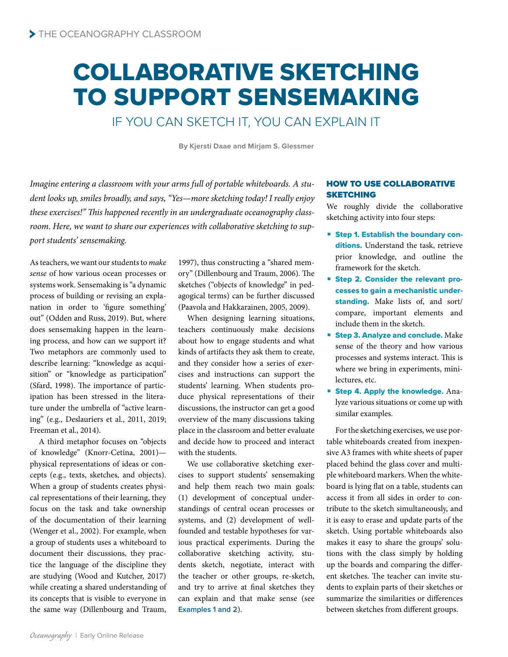# COLLABORATIVE SKETCHING TO SUPPORT SENSEMAKING

IF YOU CAN SKETCH IT, YOU CAN EXPLAIN IT

**By Kjersti Daae and Mirjam S. Glessmer**

*Imagine entering a classroom with your arms full of portable whiteboards. A student looks up, smiles broadly, and says, "Yes—more sketching today! I really enjoy these exercises!" This happened recently in an undergraduate oceanography classroom. Here, we want to share our experiences with collaborative sketching to support students' sensemaking.*

As teachers, we want our students to *make sense* of how various ocean processes or systems work. Sensemaking is "a dynamic process of building or revising an explanation in order to 'figure something' out" (Odden and Russ, 2019). But, where does sensemaking happen in the learning process, and how can we support it? Two metaphors are commonly used to describe learning: "knowledge as acquisition" or "knowledge as participation" (Sfard, 1998). The importance of participation has been stressed in the literature under the umbrella of "active learning" (e.g., Deslauriers et al., 2011, 2019; Freeman et al., 2014).

A third metaphor focuses on "objects of knowledge" (Knorr-Cetina, 2001) physical representations of ideas or concepts (e.g., texts, sketches, and objects). When a group of students creates physical representations of their learning, they focus on the task and take ownership of the documentation of their learning (Wenger et al., 2002). For example, when a group of students uses a whiteboard to document their discussions, they practice the language of the discipline they are studying (Wood and Kutcher, 2017) while creating a shared understanding of its concepts that is visible to everyone in the same way (Dillenbourg and Traum,

1997), thus constructing a "shared memory" (Dillenbourg and Traum, 2006). The sketches ("objects of knowledge" in pedagogical terms) can be further discussed (Paavola and Hakkarainen, 2005, 2009).

When designing learning situations, teachers continuously make decisions about how to engage students and what kinds of artifacts they ask them to create, and they consider how a series of exercises and instructions can support the students' learning. When students produce physical representations of their discussions, the instructor can get a good overview of the many discussions taking place in the classroom and better evaluate and decide how to proceed and interact with the students.

We use collaborative sketching exercises to support students' sensemaking and help them reach two main goals: (1) development of conceptual understandings of central ocean processes or systems, and (2) development of wellfounded and testable hypotheses for various practical experiments. During the collaborative sketching activity, students sketch, negotiate, interact with the teacher or other groups, re-sketch, and try to arrive at final sketches they can explain and that make sense (see **Examples 1 and 2**).

## HOW TO USE COLLABORATIVE SKETCHING

We roughly divide the collaborative sketching activity into four steps:

- Step 1. Establish the boundary conditions. Understand the task, retrieve prior knowledge, and outline the framework for the sketch.
- Step 2. Consider the relevant processes to gain a mechanistic understanding. Make lists of, and sort/ compare, important elements and include them in the sketch.
- **Step 3. Analyze and conclude.** Make sense of the theory and how various processes and systems interact. This is where we bring in experiments, minilectures, etc.
- Step 4. Apply the knowledge. Analyze various situations or come up with similar examples.

For the sketching exercises, we use portable whiteboards created from inexpensive A3 frames with white sheets of paper placed behind the glass cover and multiple whiteboard markers. When the whiteboard is lying flat on a table, students can access it from all sides in order to contribute to the sketch simultaneously, and it is easy to erase and update parts of the sketch. Using portable whiteboards also makes it easy to share the groups' solutions with the class simply by holding up the boards and comparing the different sketches. The teacher can invite students to explain parts of their sketches or summarize the similarities or differences between sketches from different groups.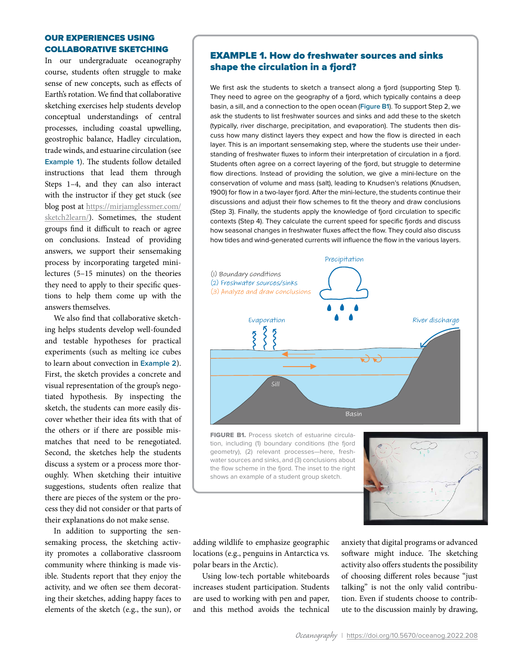## OUR EXPERIENCES USING COLLABORATIVE SKETCHING

In our undergraduate oceanography course, students often struggle to make sense of new concepts, such as effects of Earth's rotation. We find that collaborative sketching exercises help students develop conceptual understandings of central processes, including coastal upwelling, geostrophic balance, Hadley circulation, trade winds, and estuarine circulation (see **Example 1**). The students follow detailed instructions that lead them through Steps 1–4, and they can also interact with the instructor if they get stuck (see blog post at [https://mirjamglessmer.com/](https://mirjamglessmer.com/sketch2learn/) [sketch2learn/](https://mirjamglessmer.com/sketch2learn/)). Sometimes, the student groups find it difficult to reach or agree on conclusions. Instead of providing answers, we support their sensemaking process by incorporating targeted minilectures (5–15 minutes) on the theories they need to apply to their specific questions to help them come up with the answers themselves.

We also find that collaborative sketching helps students develop well-founded and testable hypotheses for practical experiments (such as melting ice cubes to learn about convection in **Example 2**). First, the sketch provides a concrete and visual representation of the group's negotiated hypothesis. By inspecting the sketch, the students can more easily discover whether their idea fits with that of the others or if there are possible mismatches that need to be renegotiated. Second, the sketches help the students discuss a system or a process more thoroughly. When sketching their intuitive suggestions, students often realize that there are pieces of the system or the process they did not consider or that parts of their explanations do not make sense.

In addition to supporting the sensemaking process, the sketching activity promotes a collaborative classroom community where thinking is made visible. Students report that they enjoy the activity, and we often see them decorating their sketches, adding happy faces to elements of the sketch (e.g., the sun), or

# EXAMPLE 1. How do freshwater sources and sinks shape the circulation in a fjord?

We first ask the students to sketch a transect along a fjord (supporting Step 1). They need to agree on the geography of a fjord, which typically contains a deep basin, a sill, and a connection to the open ocean (**Figure B1**). To support Step 2, we ask the students to list freshwater sources and sinks and add these to the sketch (typically, river discharge, precipitation, and evaporation). The students then discuss how many distinct layers they expect and how the flow is directed in each layer. This is an important sensemaking step, where the students use their understanding of freshwater fluxes to inform their interpretation of circulation in a fjord. Students often agree on a correct layering of the fjord, but struggle to determine flow directions. Instead of providing the solution, we give a mini-lecture on the conservation of volume and mass (salt), leading to Knudsen's relations (Knudsen, 1900) for flow in a two-layer fjord. After the mini-lecture, the students continue their discussions and adjust their flow schemes to fit the theory and draw conclusions (Step 3). Finally, the students apply the knowledge of fjord circulation to specific contexts (Step 4). They calculate the current speed for specific fjords and discuss how seasonal changes in freshwater fluxes affect the flow. They could also discuss how tides and wind-generated currents will influence the flow in the various layers.



FIGURE B1. Process sketch of estuarine circulation, including (1) boundary conditions (the fjord geometry), (2) relevant processes—here, freshwater sources and sinks, and (3) conclusions about the flow scheme in the fjord. The inset to the right shows an example of a student group sketch.



adding wildlife to emphasize geographic locations (e.g., penguins in Antarctica vs. polar bears in the Arctic).

Using low-tech portable whiteboards increases student participation. Students are used to working with pen and paper, and this method avoids the technical anxiety that digital programs or advanced software might induce. The sketching activity also offers students the possibility of choosing different roles because "just talking" is not the only valid contribution. Even if students choose to contribute to the discussion mainly by drawing,